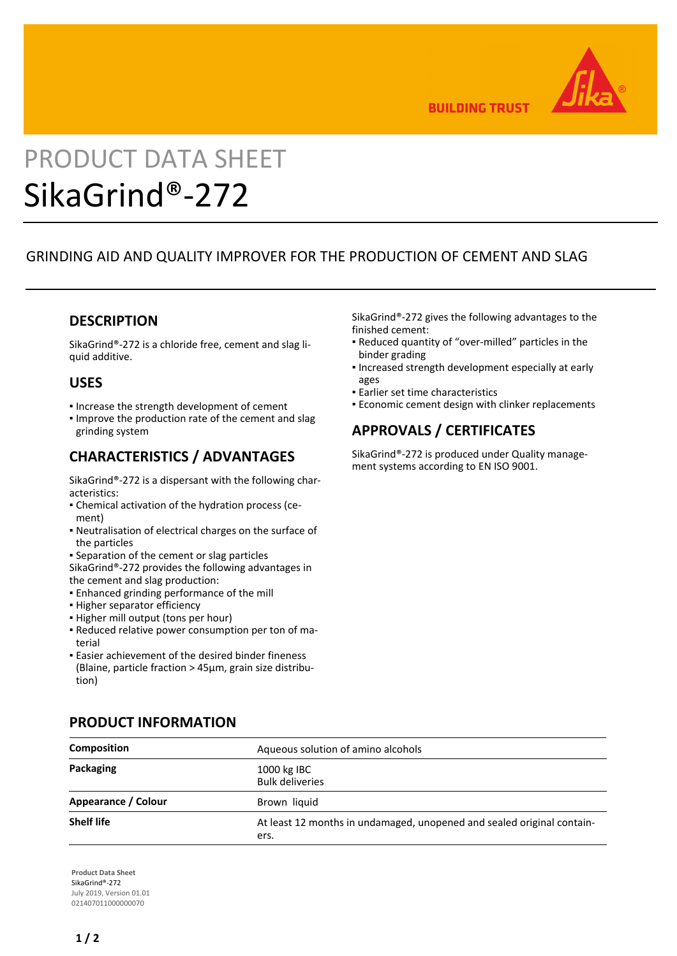

**BUILDING TRUST** 

# PRODUCT DATA SHEET SikaGrind®-272

# GRINDING AID AND QUALITY IMPROVER FOR THE PRODUCTION OF CEMENT AND SLAG

#### **DESCRIPTION**

SikaGrind®-272 is a chloride free, cement and slag liquid additive.

### **USES**

- Increase the strength development of cement
- **.** Improve the production rate of the cement and slag grinding system

# **CHARACTERISTICS / ADVANTAGES**

SikaGrind®-272 is a dispersant with the following characteristics:

- Chemical activation of the hydration process (ce-▪ ment)
- Neutralisation of electrical charges on the surface of the particles
- **.** Separation of the cement or slag particles
- SikaGrind®-272 provides the following advantages in the cement and slag production:
- **Enhanced grinding performance of the mill**
- **.** Higher separator efficiency
- **.** Higher mill output (tons per hour)
- Reduced relative power consumption per ton of ma-▪ terial
- Easier achievement of the desired binder fineness (Blaine, particle fraction > 45µm, grain size distribution)

SikaGrind®-272 gives the following advantages to the finished cement:

- Reduced quantity of "over-milled" particles in the binder grading
- **.** Increased strength development especially at early ages
- **Earlier set time characteristics**
- **Economic cement design with clinker replacements**

# **APPROVALS / CERTIFICATES**

SikaGrind®-272 is produced under Quality management systems according to EN ISO 9001.

| <b>Composition</b>  | Aqueous solution of amino alcohols                                             |
|---------------------|--------------------------------------------------------------------------------|
| Packaging           | 1000 kg IBC<br><b>Bulk deliveries</b>                                          |
| Appearance / Colour | Brown liquid                                                                   |
| <b>Shelf life</b>   | At least 12 months in undamaged, unopened and sealed original contain-<br>ers. |

**Product Data Sheet** SikaGrind®-272 July 2019, Version 01.01 021407011000000070

# **PRODUCT INFORMATION**